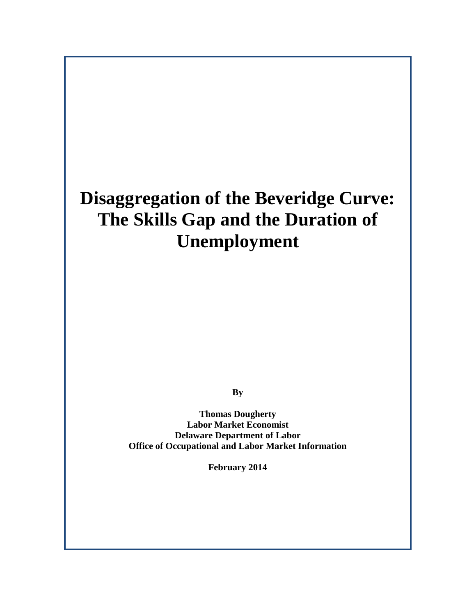# **Disaggregation of the Beveridge Curve: The Skills Gap and the Duration of Unemployment**

**By**

**Thomas Dougherty Labor Market Economist Delaware Department of Labor Office of Occupational and Labor Market Information**

**February 2014**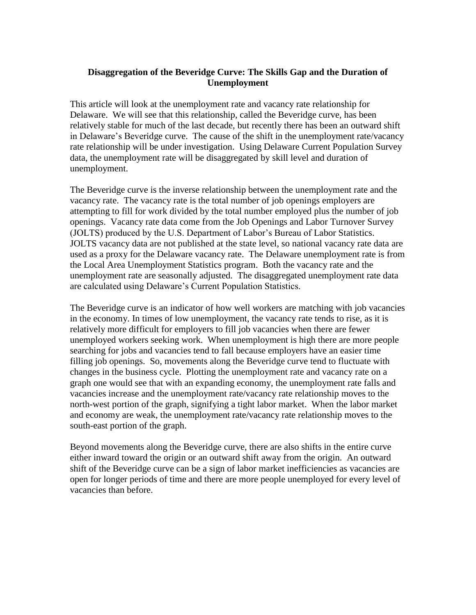## **Disaggregation of the Beveridge Curve: The Skills Gap and the Duration of Unemployment**

This article will look at the unemployment rate and vacancy rate relationship for Delaware. We will see that this relationship, called the Beveridge curve, has been relatively stable for much of the last decade, but recently there has been an outward shift in Delaware's Beveridge curve. The cause of the shift in the unemployment rate/vacancy rate relationship will be under investigation. Using Delaware Current Population Survey data, the unemployment rate will be disaggregated by skill level and duration of unemployment.

The Beveridge curve is the inverse relationship between the unemployment rate and the vacancy rate. The vacancy rate is the total number of job openings employers are attempting to fill for work divided by the total number employed plus the number of job openings. Vacancy rate data come from the Job Openings and Labor Turnover Survey (JOLTS) produced by the U.S. Department of Labor's Bureau of Labor Statistics. JOLTS vacancy data are not published at the state level, so national vacancy rate data are used as a proxy for the Delaware vacancy rate. The Delaware unemployment rate is from the Local Area Unemployment Statistics program. Both the vacancy rate and the unemployment rate are seasonally adjusted. The disaggregated unemployment rate data are calculated using Delaware's Current Population Statistics.

The Beveridge curve is an indicator of how well workers are matching with job vacancies in the economy. In times of low unemployment, the vacancy rate tends to rise, as it is relatively more difficult for employers to fill job vacancies when there are fewer unemployed workers seeking work. When unemployment is high there are more people searching for jobs and vacancies tend to fall because employers have an easier time filling job openings. So, movements along the Beveridge curve tend to fluctuate with changes in the business cycle. Plotting the unemployment rate and vacancy rate on a graph one would see that with an expanding economy, the unemployment rate falls and vacancies increase and the unemployment rate/vacancy rate relationship moves to the north-west portion of the graph, signifying a tight labor market. When the labor market and economy are weak, the unemployment rate/vacancy rate relationship moves to the south-east portion of the graph.

Beyond movements along the Beveridge curve, there are also shifts in the entire curve either inward toward the origin or an outward shift away from the origin. An outward shift of the Beveridge curve can be a sign of labor market inefficiencies as vacancies are open for longer periods of time and there are more people unemployed for every level of vacancies than before.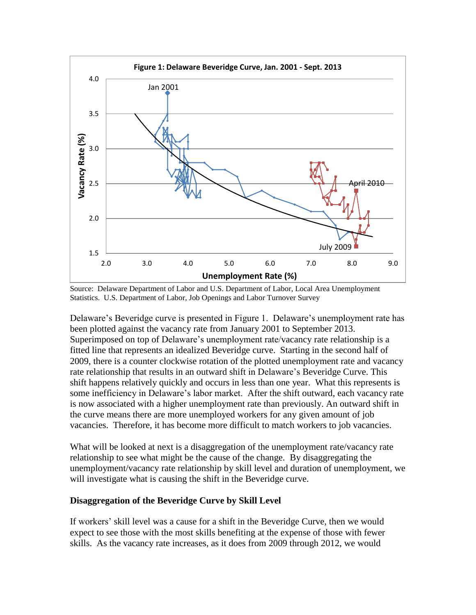

Source: Delaware Department of Labor and U.S. Department of Labor, Local Area Unemployment Statistics. U.S. Department of Labor, Job Openings and Labor Turnover Survey

Delaware's Beveridge curve is presented in Figure 1. Delaware's unemployment rate has been plotted against the vacancy rate from January 2001 to September 2013. Superimposed on top of Delaware's unemployment rate/vacancy rate relationship is a fitted line that represents an idealized Beveridge curve. Starting in the second half of 2009, there is a counter clockwise rotation of the plotted unemployment rate and vacancy rate relationship that results in an outward shift in Delaware's Beveridge Curve. This shift happens relatively quickly and occurs in less than one year. What this represents is some inefficiency in Delaware's labor market. After the shift outward, each vacancy rate is now associated with a higher unemployment rate than previously. An outward shift in the curve means there are more unemployed workers for any given amount of job vacancies. Therefore, it has become more difficult to match workers to job vacancies.

What will be looked at next is a disaggregation of the unemployment rate/vacancy rate relationship to see what might be the cause of the change. By disaggregating the unemployment/vacancy rate relationship by skill level and duration of unemployment, we will investigate what is causing the shift in the Beveridge curve.

#### **Disaggregation of the Beveridge Curve by Skill Level**

If workers' skill level was a cause for a shift in the Beveridge Curve, then we would expect to see those with the most skills benefiting at the expense of those with fewer skills. As the vacancy rate increases, as it does from 2009 through 2012, we would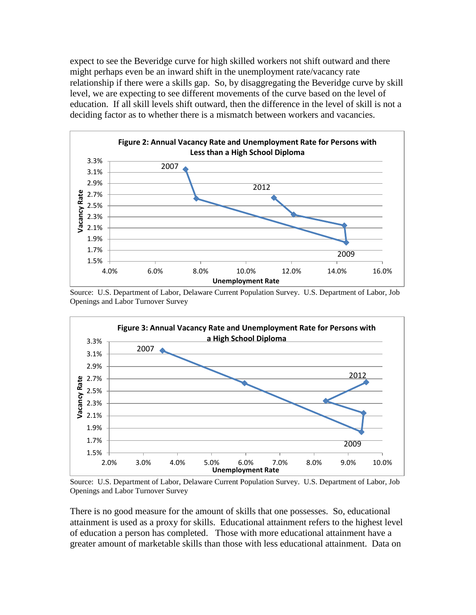expect to see the Beveridge curve for high skilled workers not shift outward and there might perhaps even be an inward shift in the unemployment rate/vacancy rate relationship if there were a skills gap. So, by disaggregating the Beveridge curve by skill level, we are expecting to see different movements of the curve based on the level of education. If all skill levels shift outward, then the difference in the level of skill is not a deciding factor as to whether there is a mismatch between workers and vacancies.



Source: U.S. Department of Labor, Delaware Current Population Survey. U.S. Department of Labor, Job Openings and Labor Turnover Survey



Source: U.S. Department of Labor, Delaware Current Population Survey. U.S. Department of Labor, Job Openings and Labor Turnover Survey

There is no good measure for the amount of skills that one possesses. So, educational attainment is used as a proxy for skills. Educational attainment refers to the highest level of education a person has completed. Those with more educational attainment have a greater amount of marketable skills than those with less educational attainment. Data on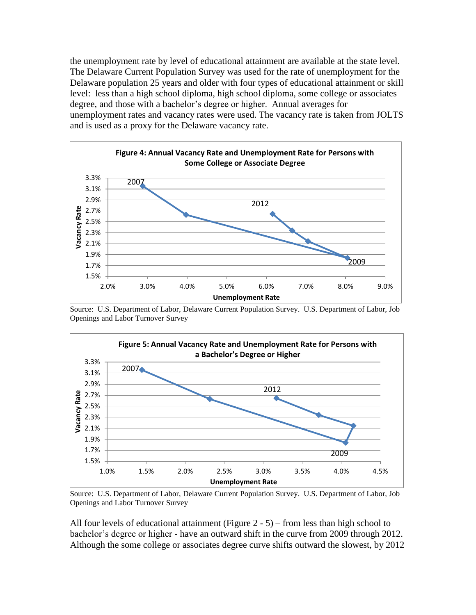the unemployment rate by level of educational attainment are available at the state level. The Delaware Current Population Survey was used for the rate of unemployment for the Delaware population 25 years and older with four types of educational attainment or skill level: less than a high school diploma, high school diploma, some college or associates degree, and those with a bachelor's degree or higher. Annual averages for unemployment rates and vacancy rates were used. The vacancy rate is taken from JOLTS and is used as a proxy for the Delaware vacancy rate.



Source: U.S. Department of Labor, Delaware Current Population Survey. U.S. Department of Labor, Job Openings and Labor Turnover Survey



Source: U.S. Department of Labor, Delaware Current Population Survey. U.S. Department of Labor, Job Openings and Labor Turnover Survey

All four levels of educational attainment (Figure 2 - 5) – from less than high school to bachelor's degree or higher - have an outward shift in the curve from 2009 through 2012. Although the some college or associates degree curve shifts outward the slowest, by 2012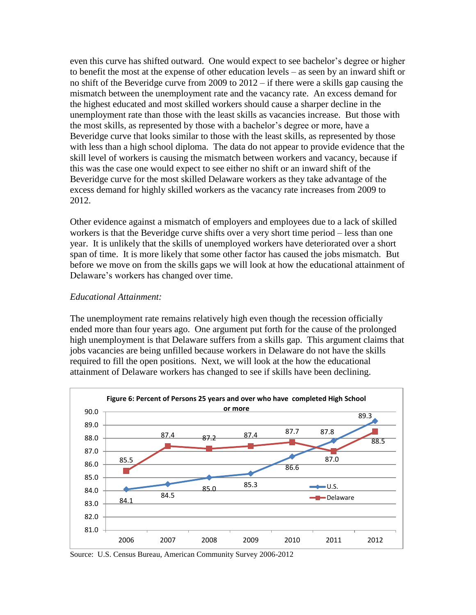even this curve has shifted outward. One would expect to see bachelor's degree or higher to benefit the most at the expense of other education levels – as seen by an inward shift or no shift of the Beveridge curve from 2009 to 2012 – if there were a skills gap causing the mismatch between the unemployment rate and the vacancy rate. An excess demand for the highest educated and most skilled workers should cause a sharper decline in the unemployment rate than those with the least skills as vacancies increase. But those with the most skills, as represented by those with a bachelor's degree or more, have a Beveridge curve that looks similar to those with the least skills, as represented by those with less than a high school diploma. The data do not appear to provide evidence that the skill level of workers is causing the mismatch between workers and vacancy, because if this was the case one would expect to see either no shift or an inward shift of the Beveridge curve for the most skilled Delaware workers as they take advantage of the excess demand for highly skilled workers as the vacancy rate increases from 2009 to 2012.

Other evidence against a mismatch of employers and employees due to a lack of skilled workers is that the Beveridge curve shifts over a very short time period – less than one year. It is unlikely that the skills of unemployed workers have deteriorated over a short span of time. It is more likely that some other factor has caused the jobs mismatch. But before we move on from the skills gaps we will look at how the educational attainment of Delaware's workers has changed over time.

#### *Educational Attainment:*

The unemployment rate remains relatively high even though the recession officially ended more than four years ago. One argument put forth for the cause of the prolonged high unemployment is that Delaware suffers from a skills gap. This argument claims that jobs vacancies are being unfilled because workers in Delaware do not have the skills required to fill the open positions. Next, we will look at the how the educational attainment of Delaware workers has changed to see if skills have been declining.



Source: U.S. Census Bureau, American Community Survey 2006-2012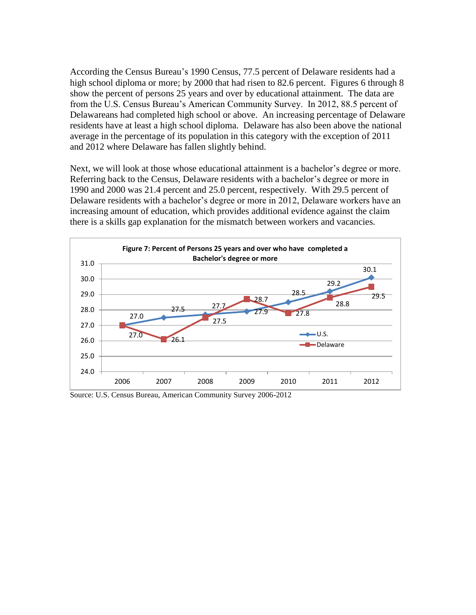According the Census Bureau's 1990 Census, 77.5 percent of Delaware residents had a high school diploma or more; by 2000 that had risen to 82.6 percent. Figures 6 through 8 show the percent of persons 25 years and over by educational attainment. The data are from the U.S. Census Bureau's American Community Survey. In 2012, 88.5 percent of Delawareans had completed high school or above. An increasing percentage of Delaware residents have at least a high school diploma. Delaware has also been above the national average in the percentage of its population in this category with the exception of 2011 and 2012 where Delaware has fallen slightly behind.

Next, we will look at those whose educational attainment is a bachelor's degree or more. Referring back to the Census, Delaware residents with a bachelor's degree or more in 1990 and 2000 was 21.4 percent and 25.0 percent, respectively. With 29.5 percent of Delaware residents with a bachelor's degree or more in 2012, Delaware workers have an increasing amount of education, which provides additional evidence against the claim there is a skills gap explanation for the mismatch between workers and vacancies.



Source: U.S. Census Bureau, American Community Survey 2006-2012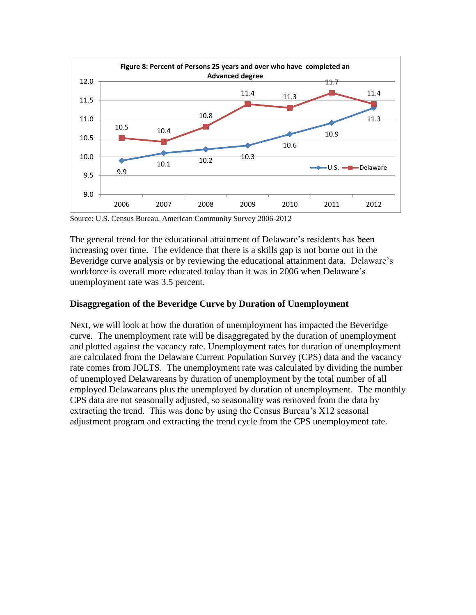

Source: U.S. Census Bureau, American Community Survey 2006-2012

The general trend for the educational attainment of Delaware's residents has been increasing over time. The evidence that there is a skills gap is not borne out in the Beveridge curve analysis or by reviewing the educational attainment data. Delaware's workforce is overall more educated today than it was in 2006 when Delaware's unemployment rate was 3.5 percent.

### **Disaggregation of the Beveridge Curve by Duration of Unemployment**

Next, we will look at how the duration of unemployment has impacted the Beveridge curve. The unemployment rate will be disaggregated by the duration of unemployment and plotted against the vacancy rate. Unemployment rates for duration of unemployment are calculated from the Delaware Current Population Survey (CPS) data and the vacancy rate comes from JOLTS. The unemployment rate was calculated by dividing the number of unemployed Delawareans by duration of unemployment by the total number of all employed Delawareans plus the unemployed by duration of unemployment. The monthly CPS data are not seasonally adjusted, so seasonality was removed from the data by extracting the trend. This was done by using the Census Bureau's X12 seasonal adjustment program and extracting the trend cycle from the CPS unemployment rate.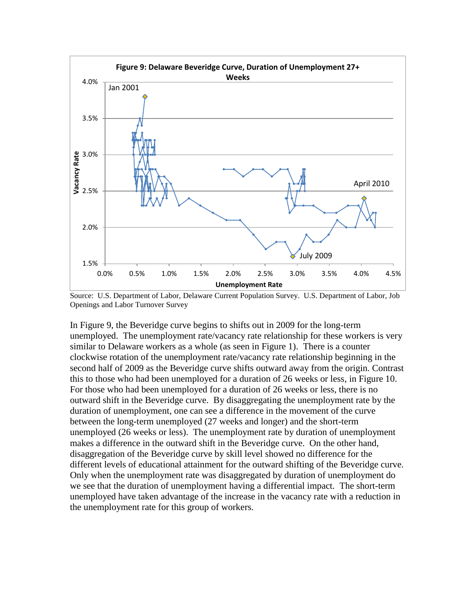

Source: U.S. Department of Labor, Delaware Current Population Survey. U.S. Department of Labor, Job Openings and Labor Turnover Survey

In Figure 9, the Beveridge curve begins to shifts out in 2009 for the long-term unemployed. The unemployment rate/vacancy rate relationship for these workers is very similar to Delaware workers as a whole (as seen in Figure 1). There is a counter clockwise rotation of the unemployment rate/vacancy rate relationship beginning in the second half of 2009 as the Beveridge curve shifts outward away from the origin. Contrast this to those who had been unemployed for a duration of 26 weeks or less, in Figure 10. For those who had been unemployed for a duration of 26 weeks or less, there is no outward shift in the Beveridge curve. By disaggregating the unemployment rate by the duration of unemployment, one can see a difference in the movement of the curve between the long-term unemployed (27 weeks and longer) and the short-term unemployed (26 weeks or less). The unemployment rate by duration of unemployment makes a difference in the outward shift in the Beveridge curve. On the other hand, disaggregation of the Beveridge curve by skill level showed no difference for the different levels of educational attainment for the outward shifting of the Beveridge curve. Only when the unemployment rate was disaggregated by duration of unemployment do we see that the duration of unemployment having a differential impact. The short-term unemployed have taken advantage of the increase in the vacancy rate with a reduction in the unemployment rate for this group of workers.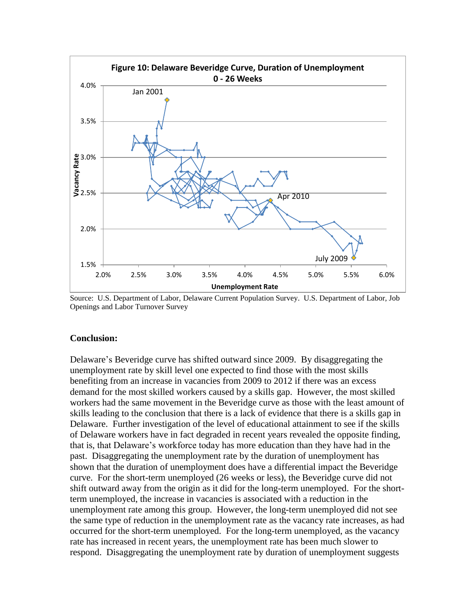

Source: U.S. Department of Labor, Delaware Current Population Survey. U.S. Department of Labor, Job Openings and Labor Turnover Survey

#### **Conclusion:**

Delaware's Beveridge curve has shifted outward since 2009. By disaggregating the unemployment rate by skill level one expected to find those with the most skills benefiting from an increase in vacancies from 2009 to 2012 if there was an excess demand for the most skilled workers caused by a skills gap. However, the most skilled workers had the same movement in the Beveridge curve as those with the least amount of skills leading to the conclusion that there is a lack of evidence that there is a skills gap in Delaware. Further investigation of the level of educational attainment to see if the skills of Delaware workers have in fact degraded in recent years revealed the opposite finding, that is, that Delaware's workforce today has more education than they have had in the past. Disaggregating the unemployment rate by the duration of unemployment has shown that the duration of unemployment does have a differential impact the Beveridge curve. For the short-term unemployed (26 weeks or less), the Beveridge curve did not shift outward away from the origin as it did for the long-term unemployed. For the shortterm unemployed, the increase in vacancies is associated with a reduction in the unemployment rate among this group. However, the long-term unemployed did not see the same type of reduction in the unemployment rate as the vacancy rate increases, as had occurred for the short-term unemployed. For the long-term unemployed, as the vacancy rate has increased in recent years, the unemployment rate has been much slower to respond. Disaggregating the unemployment rate by duration of unemployment suggests